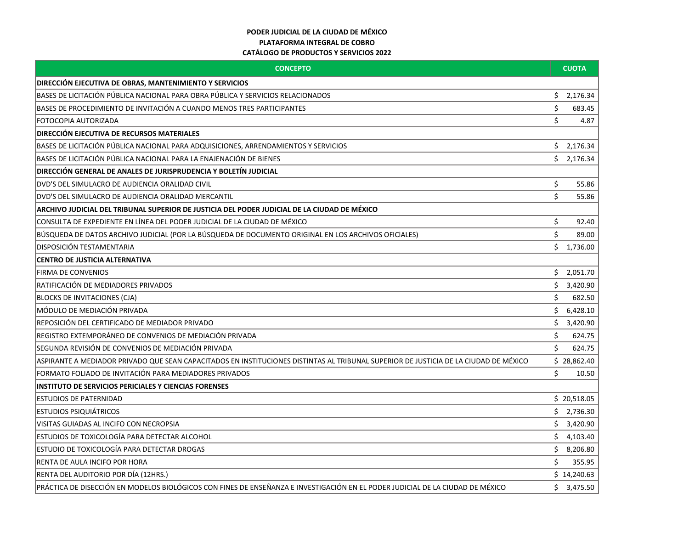## **PODER JUDICIAL DE LA CIUDAD DE MÉXICO PLATAFORMA INTEGRAL DE COBRO CATÁLOGO DE PRODUCTOS Y SERVICIOS 2022**

| <b>CONCEPTO</b>                                                                                                                      | <b>CUOTA</b> |             |
|--------------------------------------------------------------------------------------------------------------------------------------|--------------|-------------|
| <b>DIRECCIÓN EJECUTIVA DE OBRAS, MANTENIMIENTO Y SERVICIOS</b>                                                                       |              |             |
| BASES DE LICITACIÓN PÚBLICA NACIONAL PARA OBRA PÚBLICA Y SERVICIOS RELACIONADOS                                                      | \$           | 2,176.34    |
| BASES DE PROCEDIMIENTO DE INVITACIÓN A CUANDO MENOS TRES PARTICIPANTES                                                               | \$           | 683.45      |
| <b>FOTOCOPIA AUTORIZADA</b>                                                                                                          | \$           | 4.87        |
| <b>DIRECCIÓN EJECUTIVA DE RECURSOS MATERIALES</b>                                                                                    |              |             |
| BASES DE LICITACIÓN PÚBLICA NACIONAL PARA ADQUISICIONES, ARRENDAMIENTOS Y SERVICIOS                                                  | \$           | 2,176.34    |
| BASES DE LICITACIÓN PÚBLICA NACIONAL PARA LA ENAJENACIÓN DE BIENES                                                                   | Ś.           | 2,176.34    |
| DIRECCIÓN GENERAL DE ANALES DE JURISPRUDENCIA Y BOLETÍN JUDICIAL                                                                     |              |             |
| DVD'S DEL SIMULACRO DE AUDIENCIA ORALIDAD CIVIL                                                                                      | \$           | 55.86       |
| DVD'S DEL SIMULACRO DE AUDIENCIA ORALIDAD MERCANTIL                                                                                  | \$           | 55.86       |
| ARCHIVO JUDICIAL DEL TRIBUNAL SUPERIOR DE JUSTICIA DEL PODER JUDICIAL DE LA CIUDAD DE MÉXICO                                         |              |             |
| CONSULTA DE EXPEDIENTE EN LÍNEA DEL PODER JUDICIAL DE LA CIUDAD DE MÉXICO                                                            | \$           | 92.40       |
| BÚSQUEDA DE DATOS ARCHIVO JUDICIAL (POR LA BÚSQUEDA DE DOCUMENTO ORIGINAL EN LOS ARCHIVOS OFICIALES)                                 | \$           | 89.00       |
| DISPOSICIÓN TESTAMENTARIA                                                                                                            | \$           | 1,736.00    |
| CENTRO DE JUSTICIA ALTERNATIVA                                                                                                       |              |             |
| <b>FIRMA DE CONVENIOS</b>                                                                                                            | \$.          | 2,051.70    |
| RATIFICACIÓN DE MEDIADORES PRIVADOS                                                                                                  | \$           | 3,420.90    |
| <b>BLOCKS DE INVITACIONES (CJA)</b>                                                                                                  | \$           | 682.50      |
| MÓDULO DE MEDIACIÓN PRIVADA                                                                                                          | Ś.           | 6,428.10    |
| REPOSICIÓN DEL CERTIFICADO DE MEDIADOR PRIVADO                                                                                       | \$           | 3,420.90    |
| REGISTRO EXTEMPORÁNEO DE CONVENIOS DE MEDIACIÓN PRIVADA                                                                              | \$           | 624.75      |
| SEGUNDA REVISIÓN DE CONVENIOS DE MEDIACIÓN PRIVADA                                                                                   | Ś.           | 624.75      |
| ASPIRANTE A MEDIADOR PRIVADO QUE SEAN CAPACITADOS EN INSTITUCIONES DISTINTAS AL TRIBUNAL SUPERIOR DE JUSTICIA DE LA CIUDAD DE MÉXICO |              | \$28,862.40 |
| FORMATO FOLIADO DE INVITACIÓN PARA MEDIADORES PRIVADOS                                                                               | \$           | 10.50       |
| <b>INSTITUTO DE SERVICIOS PERICIALES Y CIENCIAS FORENSES</b>                                                                         |              |             |
| <b>ESTUDIOS DE PATERNIDAD</b>                                                                                                        |              | \$20,518.05 |
| <b>ESTUDIOS PSIQUIÁTRICOS</b>                                                                                                        | \$           | 2,736.30    |
| VISITAS GUIADAS AL INCIFO CON NECROPSIA                                                                                              | \$           | 3,420.90    |
| ESTUDIOS DE TOXICOLOGÍA PARA DETECTAR ALCOHOL                                                                                        | \$           | 4,103.40    |
| ESTUDIO DE TOXICOLOGÍA PARA DETECTAR DROGAS                                                                                          | \$           | 8,206.80    |
| RENTA DE AULA INCIFO POR HORA                                                                                                        | Ś.           | 355.95      |
| RENTA DEL AUDITORIO POR DÍA (12HRS.)                                                                                                 |              | \$14,240.63 |
| PRÁCTICA DE DISECCIÓN EN MODELOS BIOLÓGICOS CON FINES DE ENSEÑANZA E INVESTIGACIÓN EN EL PODER JUDICIAL DE LA CIUDAD DE MÉXICO       |              | \$3,475.50  |